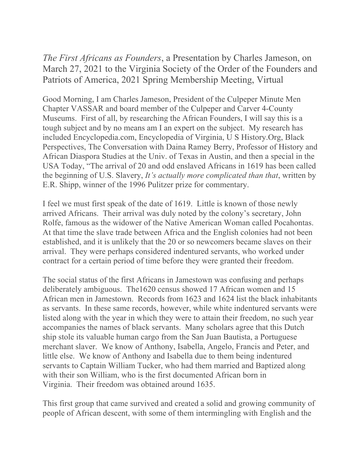*The First Africans as Founders*, a Presentation by Charles Jameson, on March 27, 2021 to the Virginia Society of the Order of the Founders and Patriots of America, 2021 Spring Membership Meeting, Virtual

Good Morning, I am Charles Jameson, President of the Culpeper Minute Men Chapter VASSAR and board member of the Culpeper and Carver 4-County Museums. First of all, by researching the African Founders, I will say this is a tough subject and by no means am I an expert on the subject. My research has included Encyclopedia.com, Encyclopedia of Virginia, U S History.Org, Black Perspectives, The Conversation with Daina Ramey Berry, Professor of History and African Diaspora Studies at the Univ. of Texas in Austin, and then a special in the USA Today, "The arrival of 20 and odd enslaved Africans in 1619 has been called the beginning of U.S. Slavery, *It's actually more complicated than that*, written by E.R. Shipp, winner of the 1996 Pulitzer prize for commentary.

I feel we must first speak of the date of 1619. Little is known of those newly arrived Africans. Their arrival was duly noted by the colony's secretary, John Rolfe, famous as the widower of the Native American Woman called Pocahontas. At that time the slave trade between Africa and the English colonies had not been established, and it is unlikely that the 20 or so newcomers became slaves on their arrival. They were perhaps considered indentured servants, who worked under contract for a certain period of time before they were granted their freedom.

The social status of the first Africans in Jamestown was confusing and perhaps deliberately ambiguous. The1620 census showed 17 African women and 15 African men in Jamestown. Records from 1623 and 1624 list the black inhabitants as servants. In these same records, however, while white indentured servants were listed along with the year in which they were to attain their freedom, no such year accompanies the names of black servants. Many scholars agree that this Dutch ship stole its valuable human cargo from the San Juan Bautista, a Portuguese merchant slaver. We know of Anthony, Isabella, Angelo, Francis and Peter, and little else. We know of Anthony and Isabella due to them being indentured servants to Captain William Tucker, who had them married and Baptized along with their son William, who is the first documented African born in Virginia. Their freedom was obtained around 1635.

This first group that came survived and created a solid and growing community of people of African descent, with some of them intermingling with English and the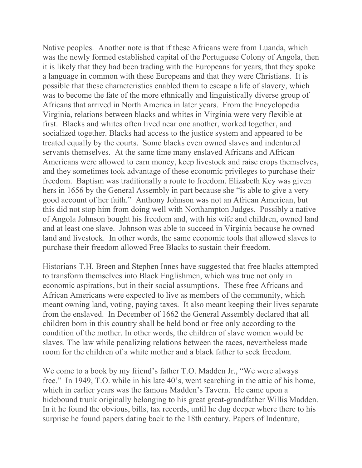Native peoples. Another note is that if these Africans were from Luanda, which was the newly formed established capital of the Portuguese Colony of Angola, then it is likely that they had been trading with the Europeans for years, that they spoke a language in common with these Europeans and that they were Christians. It is possible that these characteristics enabled them to escape a life of slavery, which was to become the fate of the more ethnically and linguistically diverse group of Africans that arrived in North America in later years. From the Encyclopedia Virginia, relations between blacks and whites in Virginia were very flexible at first. Blacks and whites often lived near one another, worked together, and socialized together. Blacks had access to the justice system and appeared to be treated equally by the courts. Some blacks even owned slaves and indentured servants themselves. At the same time many enslaved Africans and African Americans were allowed to earn money, keep livestock and raise crops themselves, and they sometimes took advantage of these economic privileges to purchase their freedom. Baptism was traditionally a route to freedom. Elizabeth Key was given hers in 1656 by the General Assembly in part because she "is able to give a very good account of her faith." Anthony Johnson was not an African American, but this did not stop him from doing well with Northampton Judges. Possibly a native of Angola Johnson bought his freedom and, with his wife and children, owned land and at least one slave. Johnson was able to succeed in Virginia because he owned land and livestock. In other words, the same economic tools that allowed slaves to purchase their freedom allowed Free Blacks to sustain their freedom.

Historians T.H. Breen and Stephen Innes have suggested that free blacks attempted to transform themselves into Black Englishmen, which was true not only in economic aspirations, but in their social assumptions. These free Africans and African Americans were expected to live as members of the community, which meant owning land, voting, paying taxes. It also meant keeping their lives separate from the enslaved. In December of 1662 the General Assembly declared that all children born in this country shall be held bond or free only according to the condition of the mother. In other words, the children of slave women would be slaves. The law while penalizing relations between the races, nevertheless made room for the children of a white mother and a black father to seek freedom.

We come to a book by my friend's father T.O. Madden Jr., "We were always free." In 1949, T.O. while in his late 40's, went searching in the attic of his home, which in earlier years was the famous Madden's Tavern. He came upon a hidebound trunk originally belonging to his great great-grandfather Willis Madden. In it he found the obvious, bills, tax records, until he dug deeper where there to his surprise he found papers dating back to the 18th century. Papers of Indenture,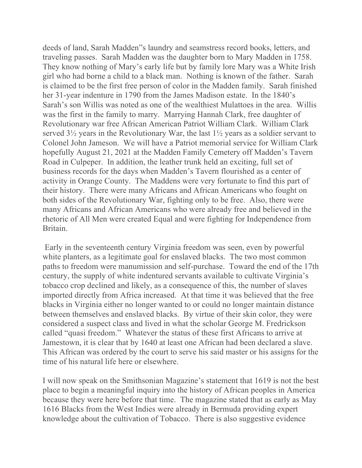deeds of land, Sarah Madden"s laundry and seamstress record books, letters, and traveling passes. Sarah Madden was the daughter born to Mary Madden in 1758. They know nothing of Mary's early life but by family lore Mary was a White Irish girl who had borne a child to a black man. Nothing is known of the father. Sarah is claimed to be the first free person of color in the Madden family. Sarah finished her 31-year indenture in 1790 from the James Madison estate. In the 1840's Sarah's son Willis was noted as one of the wealthiest Mulattoes in the area. Willis was the first in the family to marry. Marrying Hannah Clark, free daughter of Revolutionary war free African American Patriot William Clark. William Clark served 3½ years in the Revolutionary War, the last 1½ years as a soldier servant to Colonel John Jameson. We will have a Patriot memorial service for William Clark hopefully August 21, 2021 at the Madden Family Cemetery off Madden's Tavern Road in Culpeper. In addition, the leather trunk held an exciting, full set of business records for the days when Madden's Tavern flourished as a center of activity in Orange County. The Maddens were very fortunate to find this part of their history. There were many Africans and African Americans who fought on both sides of the Revolutionary War, fighting only to be free. Also, there were many Africans and African Americans who were already free and believed in the rhetoric of All Men were created Equal and were fighting for Independence from Britain.

Early in the seventeenth century Virginia freedom was seen, even by powerful white planters, as a legitimate goal for enslaved blacks. The two most common paths to freedom were manumission and self-purchase. Toward the end of the 17th century, the supply of white indentured servants available to cultivate Virginia's tobacco crop declined and likely, as a consequence of this, the number of slaves imported directly from Africa increased. At that time it was believed that the free blacks in Virginia either no longer wanted to or could no longer maintain distance between themselves and enslaved blacks. By virtue of their skin color, they were considered a suspect class and lived in what the scholar George M. Fredrickson called "quasi freedom." Whatever the status of these first Africans to arrive at Jamestown, it is clear that by 1640 at least one African had been declared a slave. This African was ordered by the court to serve his said master or his assigns for the time of his natural life here or elsewhere.

I will now speak on the Smithsonian Magazine's statement that 1619 is not the best place to begin a meaningful inquiry into the history of African peoples in America because they were here before that time. The magazine stated that as early as May 1616 Blacks from the West Indies were already in Bermuda providing expert knowledge about the cultivation of Tobacco. There is also suggestive evidence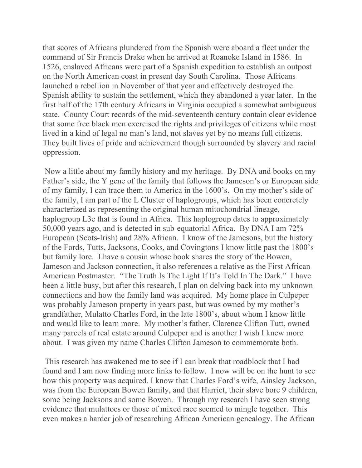that scores of Africans plundered from the Spanish were aboard a fleet under the command of Sir Francis Drake when he arrived at Roanoke Island in 1586. In 1526, enslaved Africans were part of a Spanish expedition to establish an outpost on the North American coast in present day South Carolina. Those Africans launched a rebellion in November of that year and effectively destroyed the Spanish ability to sustain the settlement, which they abandoned a year later. In the first half of the 17th century Africans in Virginia occupied a somewhat ambiguous state. County Court records of the mid-seventeenth century contain clear evidence that some free black men exercised the rights and privileges of citizens while most lived in a kind of legal no man's land, not slaves yet by no means full citizens. They built lives of pride and achievement though surrounded by slavery and racial oppression.

Now a little about my family history and my heritage. By DNA and books on my Father's side, the Y gene of the family that follows the Jameson's or European side of my family, I can trace them to America in the 1600's. On my mother's side of the family, I am part of the L Cluster of haplogroups, which has been concretely characterized as representing the original human mitochondrial lineage, haplogroup L3e that is found in Africa. This haplogroup dates to approximately 50,000 years ago, and is detected in sub-equatorial Africa. By DNA I am 72% European (Scots-Irish) and 28% African. I know of the Jamesons, but the history of the Fords, Tutts, Jacksons, Cooks, and Covingtons I know little past the 1800's but family lore. I have a cousin whose book shares the story of the Bowen, Jameson and Jackson connection, it also references a relative as the First African American Postmaster. "The Truth Is The Light If It's Told In The Dark." I have been a little busy, but after this research, I plan on delving back into my unknown connections and how the family land was acquired. My home place in Culpeper was probably Jameson property in years past, but was owned by my mother's grandfather, Mulatto Charles Ford, in the late 1800's, about whom I know little and would like to learn more. My mother's father, Clarence Clifton Tutt, owned many parcels of real estate around Culpeper and is another I wish I knew more about. I was given my name Charles Clifton Jameson to commemorate both.

This research has awakened me to see if I can break that roadblock that I had found and I am now finding more links to follow. I now will be on the hunt to see how this property was acquired. I know that Charles Ford's wife, Ainsley Jackson, was from the European Bowen family, and that Harriet, their slave bore 9 children, some being Jacksons and some Bowen. Through my research I have seen strong evidence that mulattoes or those of mixed race seemed to mingle together. This even makes a harder job of researching African American genealogy. The African